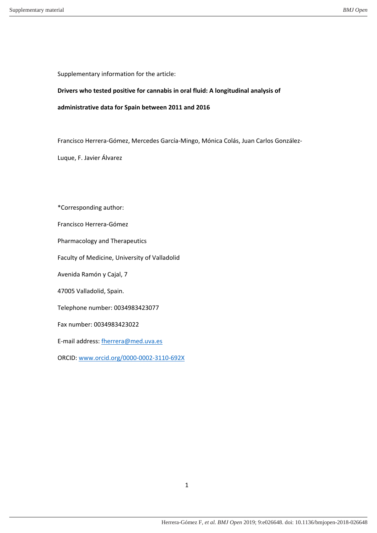Supplementary information for the article:

# **Drivers who tested positive for cannabis in oral fluid: A longitudinal analysis of**

**administrative data for Spain between 2011 and 2016**

Francisco Herrera-Gómez, Mercedes García-Mingo, Mónica Colás, Juan Carlos González-

Luque, F. Javier Álvarez

\*Corresponding author: Francisco Herrera-Gómez Pharmacology and Therapeutics Faculty of Medicine, University of Valladolid Avenida Ramón y Cajal, 7 47005 Valladolid, Spain. Telephone number: 0034983423077 Fax number: 0034983423022 E-mail address: fherrera@med.uva.es ORCID: www.orcid.org/0000-0002-3110-692X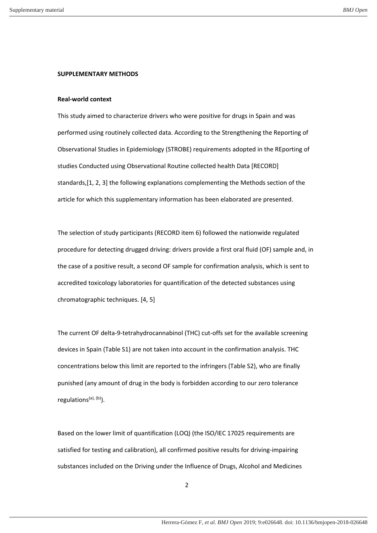### **SUPPLEMENTARY METHODS**

#### **Real-world context**

This study aimed to characterize drivers who were positive for drugs in Spain and was performed using routinely collected data. According to the Strengthening the Reporting of Observational Studies in Epidemiology (STROBE) requirements adopted in the REporting of studies Conducted using Observational Routine collected health Data [RECORD] standards,[1, 2, 3] the following explanations complementing the Methods section of the article for which this supplementary information has been elaborated are presented.

The selection of study participants (RECORD item 6) followed the nationwide regulated procedure for detecting drugged driving: drivers provide a first oral fluid (OF) sample and, in the case of a positive result, a second OF sample for confirmation analysis, which is sent to accredited toxicology laboratories for quantification of the detected substances using chromatographic techniques. [4, 5]

The current OF delta-9-tetrahydrocannabinol (THC) cut-offs set for the available screening devices in Spain (Table S1) are not taken into account in the confirmation analysis. THC concentrations below this limit are reported to the infringers (Table S2), who are finally punished (any amount of drug in the body is forbidden according to our zero tolerance regulations<sup>(a), (b)</sup>).

Based on the lower limit of quantification (LOQ) (the ISO/IEC 17025 requirements are satisfied for testing and calibration), all confirmed positive results for driving-impairing substances included on the Driving under the Influence of Drugs, Alcohol and Medicines

2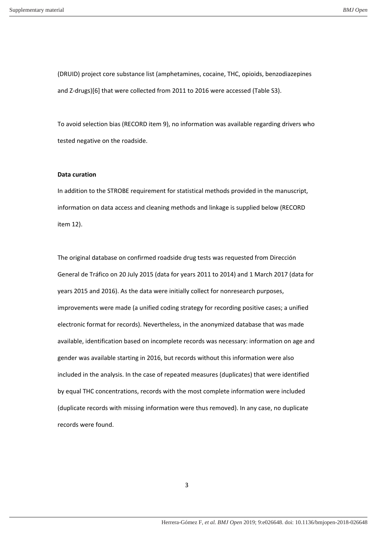(DRUID) project core substance list (amphetamines, cocaine, THC, opioids, benzodiazepines and Z-drugs)[6] that were collected from 2011 to 2016 were accessed (Table S3).

To avoid selection bias (RECORD item 9), no information was available regarding drivers who tested negative on the roadside.

### **Data curation**

In addition to the STROBE requirement for statistical methods provided in the manuscript, information on data access and cleaning methods and linkage is supplied below (RECORD item 12).

The original database on confirmed roadside drug tests was requested from Dirección General de Tráfico on 20 July 2015 (data for years 2011 to 2014) and 1 March 2017 (data for years 2015 and 2016). As the data were initially collect for nonresearch purposes, improvements were made (a unified coding strategy for recording positive cases; a unified electronic format for records). Nevertheless, in the anonymized database that was made available, identification based on incomplete records was necessary: information on age and gender was available starting in 2016, but records without this information were also included in the analysis. In the case of repeated measures (duplicates) that were identified by equal THC concentrations, records with the most complete information were included (duplicate records with missing information were thus removed). In any case, no duplicate records were found.

3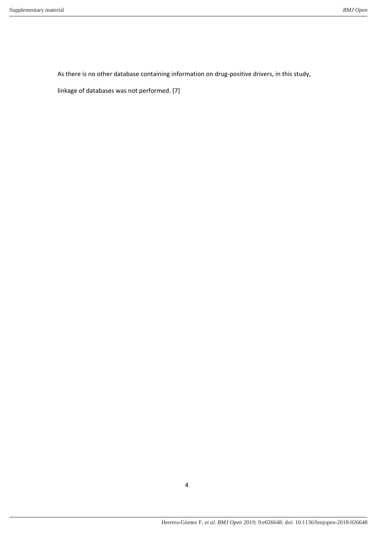As there is no other database containing information on drug-positive drivers, in this study,

linkage of databases was not performed. [7]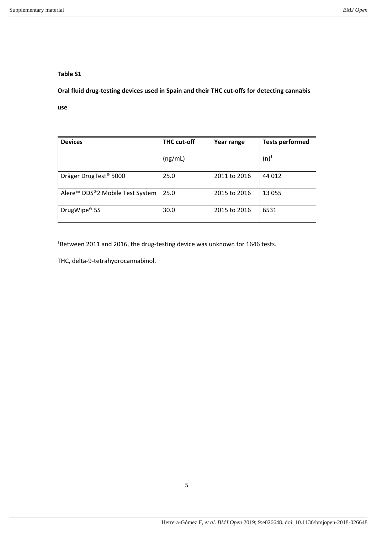**Oral fluid drug-testing devices used in Spain and their THC cut-offs for detecting cannabis** 

**use**

| <b>Devices</b>                              | <b>THC cut-off</b> | Year range   | <b>Tests performed</b> |
|---------------------------------------------|--------------------|--------------|------------------------|
|                                             | (ng/mL)            |              | $(n)^*$                |
| Dräger DrugTest <sup>®</sup> 5000           | 25.0               | 2011 to 2016 | 44 012                 |
| Alere <sup>™</sup> DDS®2 Mobile Test System | 25.0               | 2015 to 2016 | 13 055                 |
| DrugWipe <sup>®</sup> 5S                    | 30.0               | 2015 to 2016 | 6531                   |

‡Between 2011 and 2016, the drug-testing device was unknown for 1646 tests.

THC, delta-9-tetrahydrocannabinol.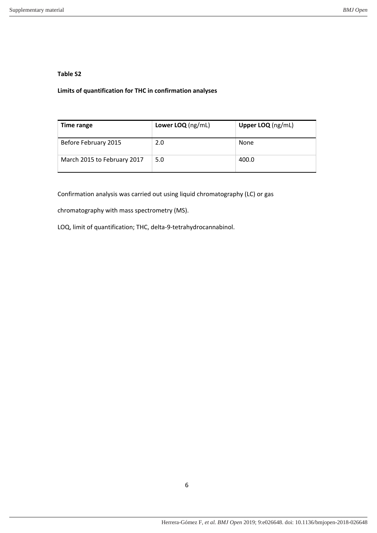# **Limits of quantification for THC in confirmation analyses**

| Time range                  | Lower LOQ $(ng/mL)$ | Upper LOQ (ng/mL) |
|-----------------------------|---------------------|-------------------|
| Before February 2015        | 2.0                 | None              |
| March 2015 to February 2017 | 5.0                 | 400.0             |

Confirmation analysis was carried out using liquid chromatography (LC) or gas

chromatography with mass spectrometry (MS).

LOQ, limit of quantification; THC, delta-9-tetrahydrocannabinol.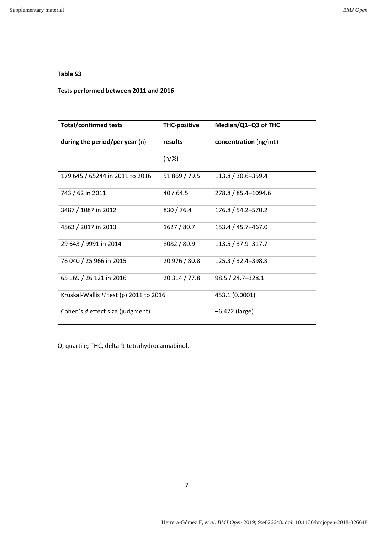## **Tests performed between 2011 and 2016**

| <b>Total/confirmed tests</b>             | <b>THC-positive</b> | Median/Q1-Q3 of THC   |
|------------------------------------------|---------------------|-----------------------|
| during the period/per year $(n)$         | results             | concentration (ng/mL) |
|                                          | $(n/\%)$            |                       |
| 179 645 / 65244 in 2011 to 2016          | 51 869 / 79.5       | 113.8 / 30.6-359.4    |
| 743 / 62 in 2011                         | 40/64.5             | 278.8 / 85.4-1094.6   |
| 3487 / 1087 in 2012                      | 830/76.4            | 176.8 / 54.2-570.2    |
| 4563 / 2017 in 2013                      | 1627/80.7           | 153.4 / 45.7-467.0    |
| 29 643 / 9991 in 2014                    | 8082 / 80.9         | 113.5 / 37.9-317.7    |
| 76 040 / 25 966 in 2015                  | 20 976 / 80.8       | 125.3 / 32.4-398.8    |
| 65 169 / 26 121 in 2016                  | 20 314 / 77.8       | 98.5 / 24.7-328.1     |
| Kruskal-Wallis $H$ test (p) 2011 to 2016 |                     | 453.1 (0.0001)        |
| Cohen's d effect size (judgment)         |                     | $-6.472$ (large)      |

Q, quartile; THC, delta-9-tetrahydrocannabinol.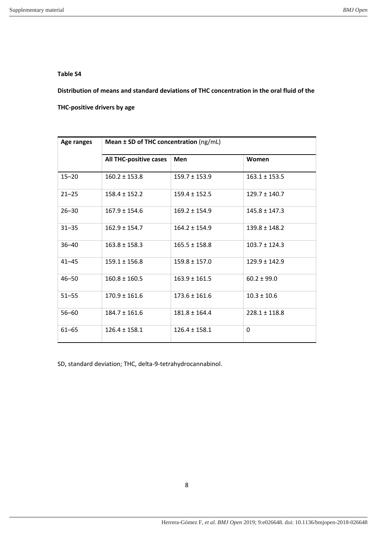**Distribution of means and standard deviations of THC concentration in the oral fluid of the** 

**THC-positive drivers by age**

| Age ranges | Mean ± SD of THC concentration (ng/mL) |                   |                   |
|------------|----------------------------------------|-------------------|-------------------|
|            | <b>All THC-positive cases</b>          | <b>Men</b>        | Women             |
| $15 - 20$  | $160.2 \pm 153.8$                      | $159.7 \pm 153.9$ | $163.1 \pm 153.5$ |
| $21 - 25$  | $158.4 \pm 152.2$                      | $159.4 \pm 152.5$ | $129.7 \pm 140.7$ |
| $26 - 30$  | $167.9 \pm 154.6$                      | $169.2 \pm 154.9$ | $145.8 \pm 147.3$ |
| $31 - 35$  | $162.9 \pm 154.7$                      | $164.2 \pm 154.9$ | $139.8 \pm 148.2$ |
| $36 - 40$  | $163.8 \pm 158.3$                      | $165.5 \pm 158.8$ | $103.7 \pm 124.3$ |
| $41 - 45$  | $159.1 \pm 156.8$                      | $159.8 \pm 157.0$ | $129.9 \pm 142.9$ |
| $46 - 50$  | $160.8 \pm 160.5$                      | $163.9 \pm 161.5$ | $60.2 \pm 99.0$   |
| $51 - 55$  | $170.9 \pm 161.6$                      | $173.6 \pm 161.6$ | $10.3 \pm 10.6$   |
| $56 - 60$  | $184.7 \pm 161.6$                      | $181.8 \pm 164.4$ | $228.1 \pm 118.8$ |
| $61 - 65$  | $126.4 \pm 158.1$                      | $126.4 \pm 158.1$ | $\Omega$          |

SD, standard deviation; THC, delta-9-tetrahydrocannabinol.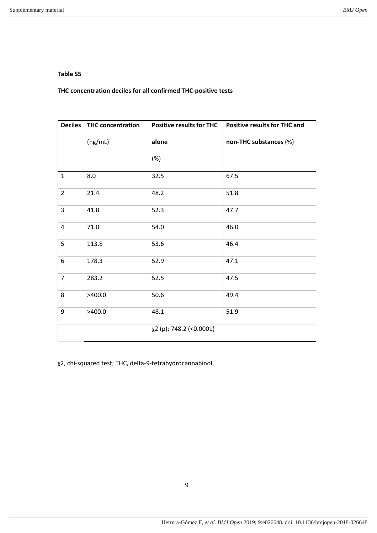**THC concentration deciles for all confirmed THC-positive tests**

| <b>Deciles</b> | <b>THC concentration</b> | <b>Positive results for THC</b> | <b>Positive results for THC and</b> |
|----------------|--------------------------|---------------------------------|-------------------------------------|
|                | (ng/mL)                  | alone                           | non-THC substances (%)              |
|                |                          | (%)                             |                                     |
| $\mathbf{1}$   | 8.0                      | 32.5                            | 67.5                                |
| $\overline{2}$ | 21.4                     | 48.2                            | 51.8                                |
| 3              | 41.8                     | 52.3                            | 47.7                                |
| 4              | 71.0                     | 54.0                            | 46.0                                |
| 5              | 113.8                    | 53.6                            | 46.4                                |
| 6              | 178.3                    | 52.9                            | 47.1                                |
| 7              | 283.2                    | 52.5                            | 47.5                                |
| 8              | >400.0                   | 50.6                            | 49.4                                |
| 9              | >400.0                   | 48.1                            | 51.9                                |
|                |                          | χ2 (p): 748.2 (<0.0001)         |                                     |

χ2, chi-squared test; THC, delta-9-tetrahydrocannabinol.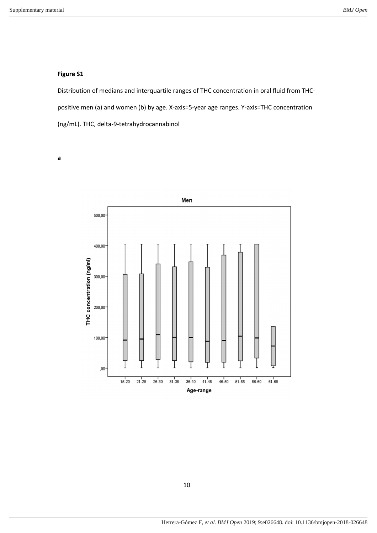# **Figure S1**

Distribution of medians and interquartile ranges of THC concentration in oral fluid from THCpositive men (a) and women (b) by age. X-axis=5-year age ranges. Y-axis=THC concentration (ng/mL). THC, delta-9-tetrahydrocannabinol

**a** 

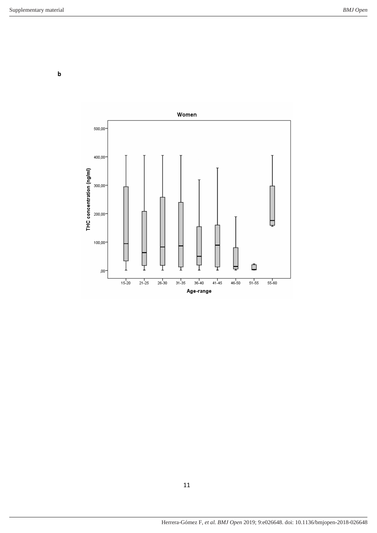**b** 

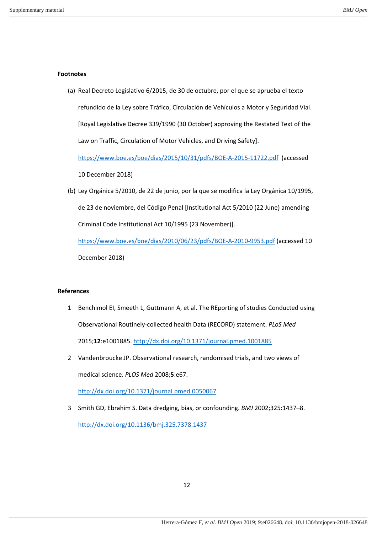### **Footnotes**

(a) Real Decreto Legislativo 6/2015, de 30 de octubre, por el que se aprueba el texto refundido de la Ley sobre Tráfico, Circulación de Vehículos a Motor y Seguridad Vial. [Royal Legislative Decree 339/1990 (30 October) approving the Restated Text of the Law on Traffic, Circulation of Motor Vehicles, and Driving Safety]. https://www.boe.es/boe/dias/2015/10/31/pdfs/BOE-A-2015-11722.pdf (accessed

10 December 2018)

(b) Ley Orgánica 5/2010, de 22 de junio, por la que se modifica la Ley Orgánica 10/1995, de 23 de noviembre, del Código Penal [Institutional Act 5/2010 (22 June) amending Criminal Code Institutional Act 10/1995 (23 November)].

https://www.boe.es/boe/dias/2010/06/23/pdfs/BOE-A-2010-9953.pdf (accessed 10 December 2018)

## **References**

- 1 Benchimol EI, Smeeth L, Guttmann A, et al. The REporting of studies Conducted using Observational Routinely-collected health Data (RECORD) statement. *PLoS Med* 2015;**12**:e1001885. http://dx.doi.org/10.1371/journal.pmed.1001885
- 2 Vandenbroucke JP. Observational research, randomised trials, and two views of medical science. *PLOS Med* 2008;**5**:e67.

http://dx.doi.org/10.1371/journal.pmed.0050067

3 Smith GD, Ebrahim S. Data dredging, bias, or confounding. *BMJ* 2002;325:1437–8.

http://dx.doi.org/10.1136/bmj.325.7378.1437